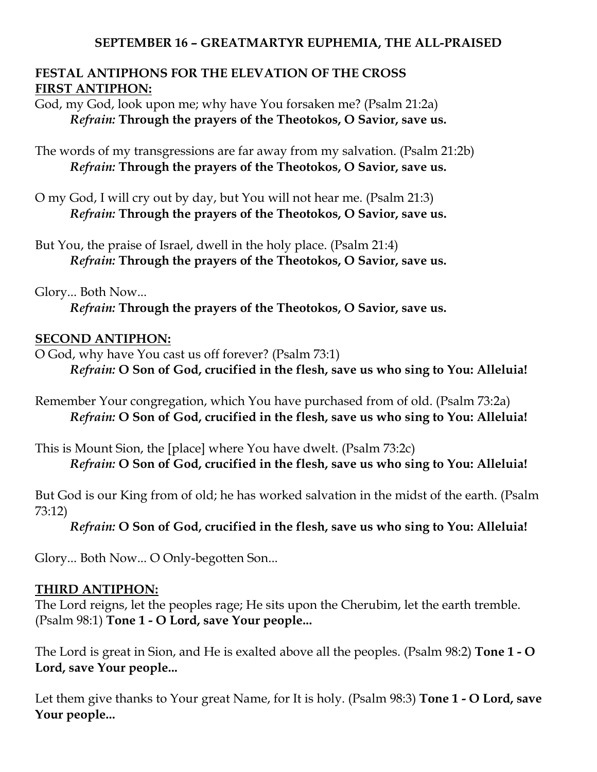#### **SEPTEMBER 16 – GREATMARTYR EUPHEMIA, THE ALL-PRAISED**

### **FESTAL ANTIPHONS FOR THE ELEVATION OF THE CROSS FIRST ANTIPHON:**

God, my God, look upon me; why have You forsaken me? (Psalm 21:2a) *Refrain:* **Through the prayers of the Theotokos, O Savior, save us.**

The words of my transgressions are far away from my salvation. (Psalm 21:2b) *Refrain:* **Through the prayers of the Theotokos, O Savior, save us.**

- O my God, I will cry out by day, but You will not hear me. (Psalm 21:3) *Refrain:* **Through the prayers of the Theotokos, O Savior, save us.**
- But You, the praise of Israel, dwell in the holy place. (Psalm 21:4) *Refrain:* **Through the prayers of the Theotokos, O Savior, save us.**

Glory... Both Now...

*Refrain:* **Through the prayers of the Theotokos, O Savior, save us.**

#### **SECOND ANTIPHON:**

O God, why have You cast us off forever? (Psalm 73:1) *Refrain:* **O Son of God, crucified in the flesh, save us who sing to You: Alleluia!**

Remember Your congregation, which You have purchased from of old. (Psalm 73:2a) *Refrain:* **O Son of God, crucified in the flesh, save us who sing to You: Alleluia!**

This is Mount Sion, the [place] where You have dwelt. (Psalm 73:2c) *Refrain:* **O Son of God, crucified in the flesh, save us who sing to You: Alleluia!**

But God is our King from of old; he has worked salvation in the midst of the earth. (Psalm 73:12)

*Refrain:* **O Son of God, crucified in the flesh, save us who sing to You: Alleluia!**

Glory... Both Now... O Only-begotten Son...

#### **THIRD ANTIPHON:**

The Lord reigns, let the peoples rage; He sits upon the Cherubim, let the earth tremble. (Psalm 98:1) **Tone 1 - O Lord, save Your people...**

The Lord is great in Sion, and He is exalted above all the peoples. (Psalm 98:2) **Tone 1 - O Lord, save Your people...**

Let them give thanks to Your great Name, for It is holy. (Psalm 98:3) **Tone 1 - O Lord, save Your people...**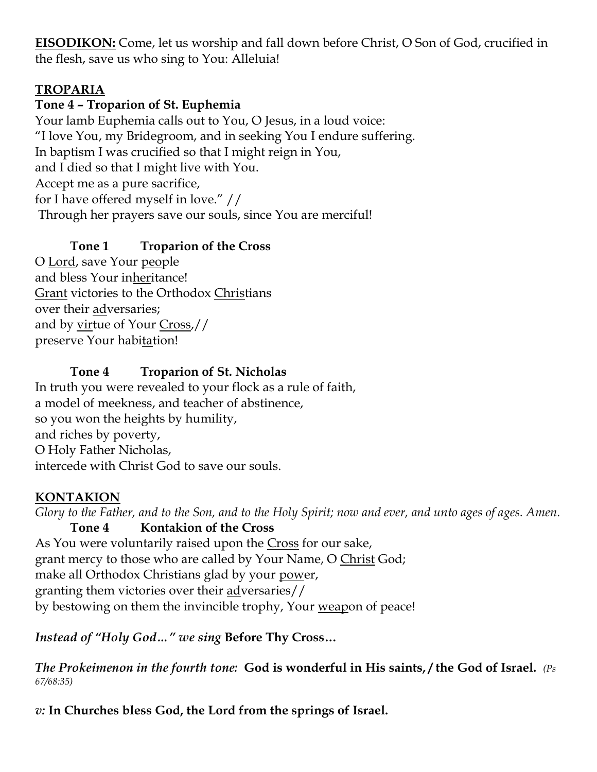**EISODIKON:** Come, let us worship and fall down before Christ, O Son of God, crucified in the flesh, save us who sing to You: Alleluia!

# **TROPARIA**

### **Tone 4 – Troparion of St. Euphemia**

Your lamb Euphemia calls out to You, O Jesus, in a loud voice: "I love You, my Bridegroom, and in seeking You I endure suffering. In baptism I was crucified so that I might reign in You, and I died so that I might live with You. Accept me as a pure sacrifice, for I have offered myself in love." // Through her prayers save our souls, since You are merciful!

# **Tone 1 Troparion of the Cross**

O Lord, save Your people and bless Your inheritance! Grant victories to the Orthodox Christians over their adversaries; and by virtue of Your Cross,// preserve Your habitation!

# **Tone 4 Troparion of St. Nicholas**

In truth you were revealed to your flock as a rule of faith, a model of meekness, and teacher of abstinence, so you won the heights by humility, and riches by poverty, O Holy Father Nicholas, intercede with Christ God to save our souls.

#### **KONTAKION**

*Glory to the Father, and to the Son, and to the Holy Spirit; now and ever, and unto ages of ages. Amen.*  **Tone 4 Kontakion of the Cross** As You were voluntarily raised upon the Cross for our sake, grant mercy to those who are called by Your Name, O Christ God; make all Orthodox Christians glad by your power, granting them victories over their adversaries// by bestowing on them the invincible trophy, Your weapon of peace!

*Instead of "Holy God…" we sing* **Before Thy Cross…**

*The Prokeimenon in the fourth tone:* **God is wonderful in His saints, / the God of Israel.** *(Ps 67/68:35)*

*v:* **In Churches bless God, the Lord from the springs of Israel.**